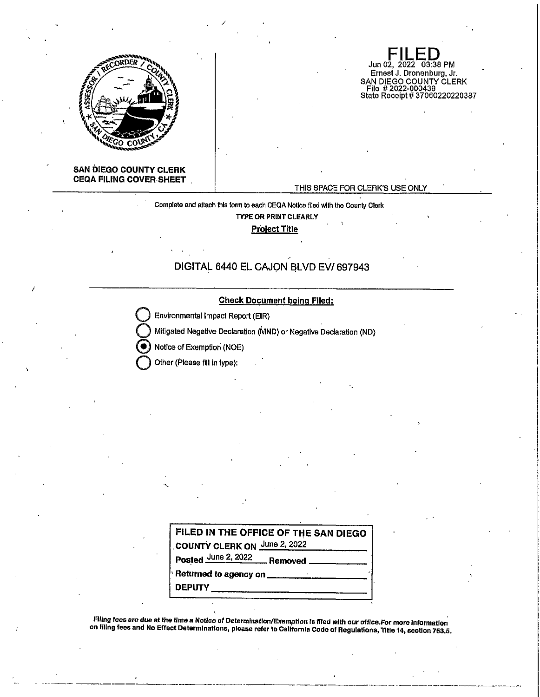

### **SAN DIEGO COUNTY CLERK CEQA FILING COVER-SHEET**

#### THIS SPACE FOR CLERK'S USE ONLY

Jun 02, 2022 03:38 PM Eirnest J. Dronenburg, Jr.

SAN DIEGO COUNTY CLERK File # 2022-000439 State Receipt# 37060220220387

Complete and attach this form lo each CEQA Nollce flied with the County Clerk

**TYPE OR PRINT CLEARLY** 

**Project Title** 

# DIGITAL 6440 EL CAJON BLVD EV/ 697943



**Environmental Impact Report (EIR)** 

/

**Q** Mitigated Negative Declaration (MND) or Negative Declaration (ND)

Notice of Exemption (NOE)

**Other (Please fill in type):** 

| FILED IN THE OFFICE OF THE SAN DIEGO          |  |
|-----------------------------------------------|--|
| COUNTY CLERK ON June 2, 2022                  |  |
| Posted June 2, 2022 Removed ___________       |  |
| Returned to agency on _______________________ |  |
| <b>DEPUTY</b>                                 |  |

**fUlng fees are due at the time a Notice of Determination/Exemption Is filed** *with* **our office.For more Jnformatlon on filing fees and No Effect Determinations, please refer to California Code of Regulations, Title 14, section 753.5.** 

---------------------------·•-----------------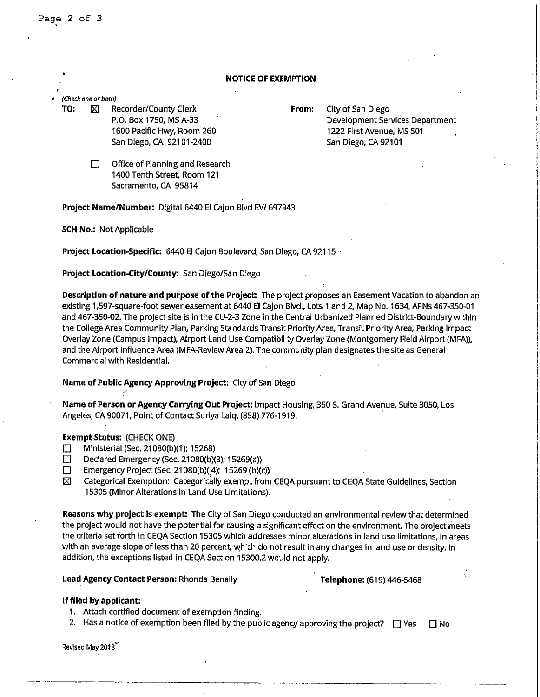### **NOTICE OF EXEMPTION**

#### *(Check one or both)*

**TO:**  $\boxtimes$  Recorder/County Clerk **From:** City of San Diego P.O. Box 1750, MS A-33 1600 Pacific Hwy, Room 260 San Diego, CA 92101-2400

Development Services Department 1222 First Avenue, MS501 San Diego, CA 92101

 $\Box$  Office of Planning and Research 1400 Tenth Street, Room 121 Sacramento, CA 95814

**Project Name/Number:** Digital 6440 El Cajon Blvd EV/ 697943

**SCH No.:** Not Applicable

**Project Location-Specific: 6440 El Cajon Boulevard, San Diego, CA 92115** 

# **Project Location-City/County:** San Diego/San Diego

**Description of nature and purpose of the Project:** The project proposes an Easement Vacation to abandon an existing 1,597-square-foot sewer easement at 6440 **El** Cajon Blvd., Lots 1 and 2, Map No, 1634, APNs 467-350-01 and 467-350-02. The project site is In the CU-2-3 Zone in the Central Urbanized Planned District-Boundary within the College Area Community Plan, Parking Standards Transit Prioriiy Area, Transit Priority Area, Parking Impact overlay Zone (Campus Impact), Airport Land Use Compatibility Overlay Zone (Montgomery Field Airport (MFA)), and the Airport Influence Area (MFA-Review Area 2). The community plan designates the site as General Commercial with Residential.

# **Name of Public Agency Approving Project:** City of San Diego

**Name of Person or Agency Carrying Out Project:** Impact Housing, 350 s. Grand Avenue, Suite 3050, Los Angeles, CA 90071, Point of Contact Suriya Laiq, (858) 776-1919. ·

# **ExemptStatus:** (CHECK ONE)

- $\Box$  Ministerial (Sec, 21080(b)(1); 15268)
- Declared Emergency (Sec. 21080(b)(3); 15269(a))
- Emergency Project (Sec. 21080(b)(4); 15269 (b)(c))
- 181 Categorical Exemption: Categorically exempt from CEQA pursuant to CEQA State Guidelines, Section 15305 (Minor Alterations In Land Use Limitations).

**Reasons why project is exempt:** The City of San Diego conducted an environmental review that determined the project would not have the potential for causing a significant effect on the environment. The project meets the criteria set forth In CEQA Section 15305 which addresses minor alterations In land use limitations, In areas with an average slope of less than 20 percent, which do not result in any changes In land use or density. In addition, the exceptions listed in CEQA Section 15300.2 would not apply.

#### **Lead Agency Contact Person:** Rhonda Benally **Telephone:** (619) 446-5468

# **lfflled by applicant:**

- 1. Attach certified document of exemption finding.
- 2. Has a notice of exemption been filed by the public agency approving the project?  $\square$  Yes  $\square$  No

Revised May 2018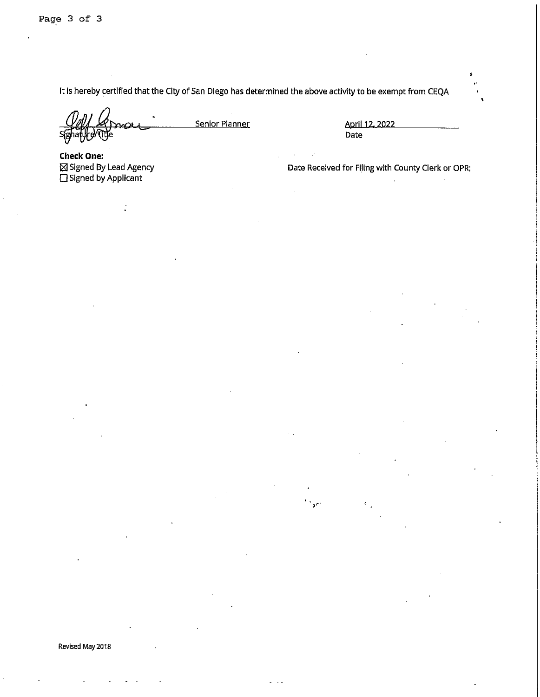It Is hereby certified that the City of San Diego has determined the above activity to be exempt from CEQA

Senior Planner April 12, 2022

Date

**Check One:**  [81 Signed By Lead Agency □ Signed by Applicant

Date Received for Filing with County Clerk or OPR: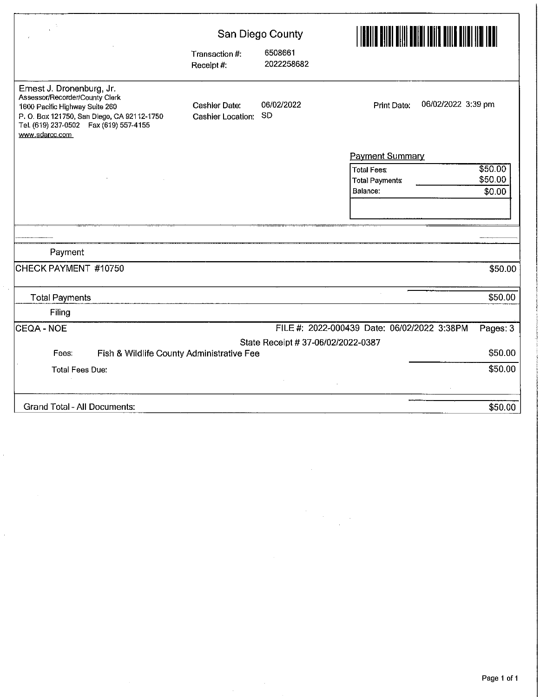|                                                                                                                                                                                                           | San Diego County                             |                                    |                                             |                    |  |
|-----------------------------------------------------------------------------------------------------------------------------------------------------------------------------------------------------------|----------------------------------------------|------------------------------------|---------------------------------------------|--------------------|--|
|                                                                                                                                                                                                           | Transaction #:<br>Receipt#:                  | 6508661<br>2022258682              |                                             |                    |  |
| Ernest J. Dronenburg, Jr.<br>Assessor/Recorder/County Clerk<br>1600 Pacific Highway Suite 260<br>P.O. Box 121750, San Diego, CA 92112-1750<br>Tel. (619) 237-0502    Fax (619) 557-4155<br>www.sdarcc.com | <b>Cashier Date:</b><br>Cashier Location: SD | 06/02/2022                         | 06/02/2022 3:39 pm<br>Print Date:           |                    |  |
|                                                                                                                                                                                                           |                                              |                                    | <b>Payment Summary</b>                      |                    |  |
|                                                                                                                                                                                                           |                                              |                                    | <b>Total Fees:</b><br><b>Total Payments</b> | \$50.00<br>\$50.00 |  |
|                                                                                                                                                                                                           |                                              |                                    | Balance:                                    | \$0.00             |  |
|                                                                                                                                                                                                           |                                              |                                    |                                             |                    |  |
|                                                                                                                                                                                                           |                                              |                                    |                                             |                    |  |
| Payment                                                                                                                                                                                                   |                                              |                                    |                                             |                    |  |
| CHECK PAYMENT #10750                                                                                                                                                                                      |                                              |                                    |                                             | \$50.00            |  |
| <b>Total Payments</b>                                                                                                                                                                                     |                                              |                                    |                                             | \$50.00            |  |
| Filing                                                                                                                                                                                                    |                                              |                                    |                                             |                    |  |
| ICEQA - NOE                                                                                                                                                                                               |                                              |                                    | FILE #: 2022-000439 Date: 06/02/2022 3:38PM | Pages: 3           |  |
|                                                                                                                                                                                                           |                                              | State Receipt # 37-06/02/2022-0387 |                                             |                    |  |
| Fees.                                                                                                                                                                                                     | Fish & Wildlife County Administrative Fee    |                                    |                                             | \$50.00            |  |
| <b>Total Fees Due:</b>                                                                                                                                                                                    |                                              |                                    |                                             | \$50.00            |  |
|                                                                                                                                                                                                           |                                              |                                    |                                             |                    |  |
| <b>Grand Total - All Documents:</b>                                                                                                                                                                       |                                              |                                    |                                             | \$50.00            |  |

 $\mathcal{A}^{\mathcal{A}}$ 

ý,